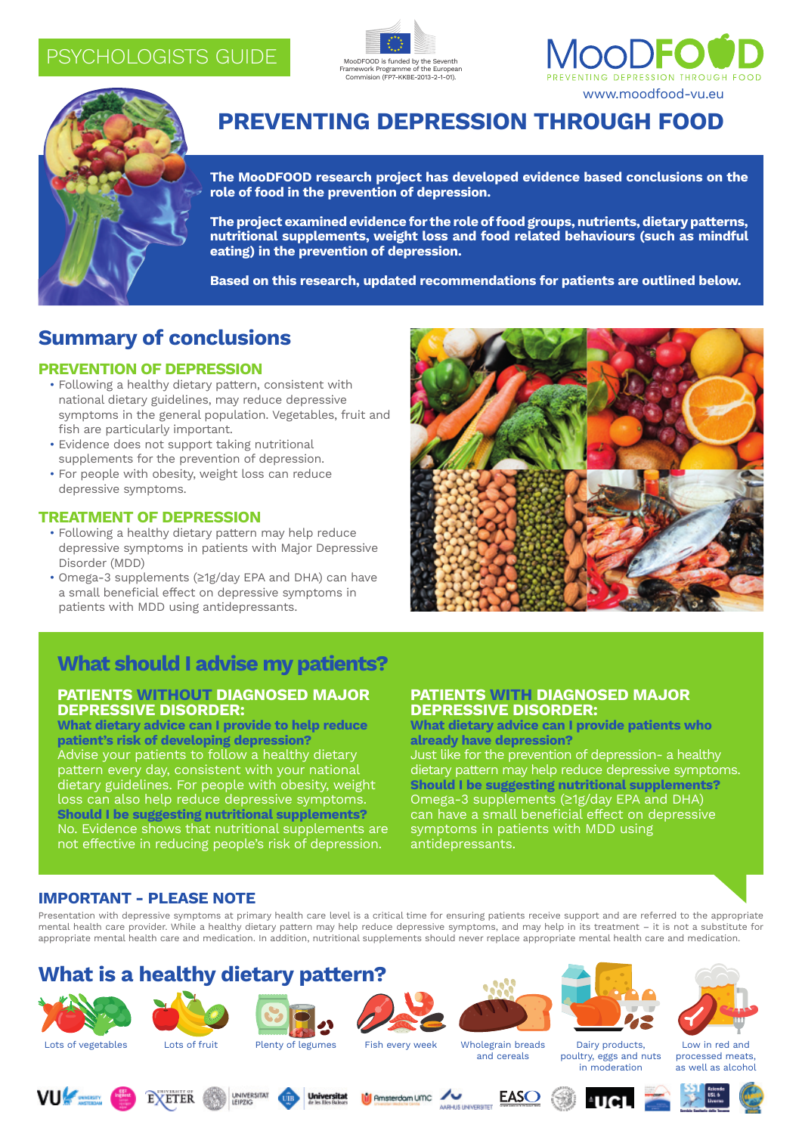## PSYCHOLOGISTS GUIDE







## **Preventing Depression through Food**

**The MooDFOOD research project has developed evidence based conclusions on the role of food in the prevention of depression.**

**The project examined evidence for the role of food groups, nutrients, dietary patterns, nutritional supplements, weight loss and food related behaviours (such as mindful eating) in the prevention of depression.** 

**Based on this research, updated recommendations for patients are outlined below.**

## **Summary of conclusions**

### **PREVENTION OF DEPRESSION**

- Following a healthy dietary pattern, consistent with national dietary guidelines, may reduce depressive symptoms in the general population. Vegetables, fruit and fish are particularly important.
- Evidence does not support taking nutritional supplements for the prevention of depression.
- For people with obesity, weight loss can reduce depressive symptoms.

### **TREATMENT OF DEPRESSION**

- Following a healthy dietary pattern may help reduce depressive symptoms in patients with Major Depressive Disorder (MDD)
- Omega-3 supplements (≥1g/day EPA and DHA) can have a small beneficial effect on depressive symptoms in patients with MDD using antidepressants.



# **What should I advise my patients?**

### **PATIENTS WITHOUT DIAGNOSED MAJOR DEPRESSIVE DISORDER:**

**What dietary advice can I provide to help reduce patient's risk of developing depression?** Advise your patients to follow a healthy dietary pattern every day, consistent with your national dietary guidelines. For people with obesity, weight loss can also help reduce depressive symptoms. **Should I be suggesting nutritional supplements?** No. Evidence shows that nutritional supplements are not effective in reducing people's risk of depression.

### **PATIENTS WITH DIAGNOSED MAJOR DEPRESSIVE DISORDER:**

#### **What dietary advice can I provide patients who already have depression?**

Just like for the prevention of depression- a healthy dietary pattern may help reduce depressive symptoms. **Should I be suggesting nutritional supplements?** Omega-3 supplements (≥1g/day EPA and DHA) can have a small beneficial effect on depressive symptoms in patients with MDD using antidepressants.

## **IMPORTANT - PLEASE NOTE**

Presentation with depressive symptoms at primary health care level is a critical time for ensuring patients receive support and are referred to the appropriate mental health care provider. While a healthy dietary pattern may help reduce depressive symptoms, and may help in its treatment – it is not a substitute for appropriate mental health care and medication. In addition, nutritional supplements should never replace appropriate mental health care and medication.

## **What is a healthy dietary pattern?**





**EXETER** 









Dairy products, poultry, eggs and nuts in moderation



Low in red and processed meats, as well as alcohol









and cereals